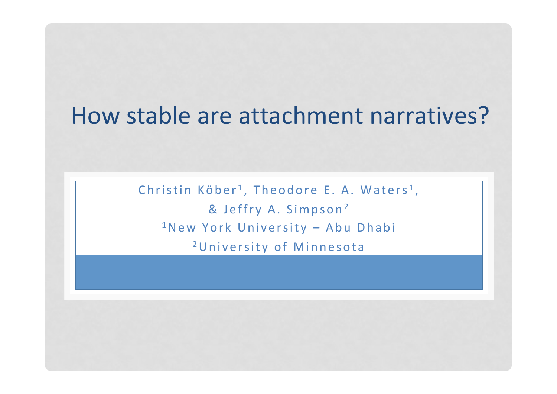# How stable are attachment narratives?

Christin Köber<sup>1</sup>, Theodore E. A. Waters<sup>1</sup>,

& Jeffry A. Simpson<sup>2</sup>  $1$ New York University – Abu Dhabi

<sup>2</sup>University of Minnesota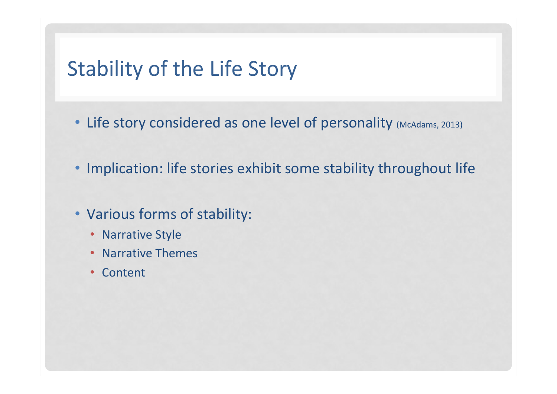## Stability of the Life Story

- Life story considered as one level of personality (McAdams, 2013)
- Implication: life stories exhibit some stability throughout life
- Various forms of stability:
	- Narrative Style
	- Narrative Themes
	- Content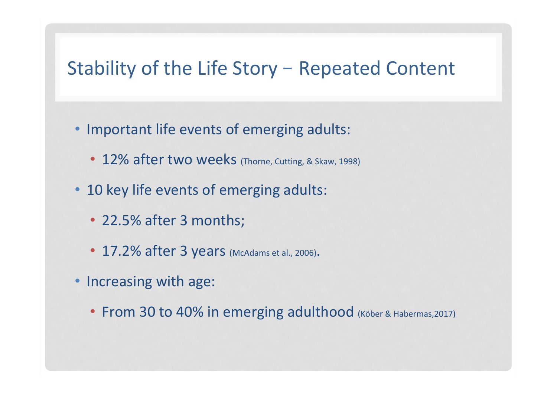#### Stability of the Life Story – Repeated Content

- Important life events of emerging adults:
	- 12% after two weeks (Thorne, Cutting, & Skaw, 1998)
- 10 key life events of emerging adults:
	- 22.5% after 3 months;
	- 17.2% after 3 years (McAdams et al., 2006).
- Increasing with age:
	- From 30 to 40% in emerging adulthood (Köber & Habermas, 2017)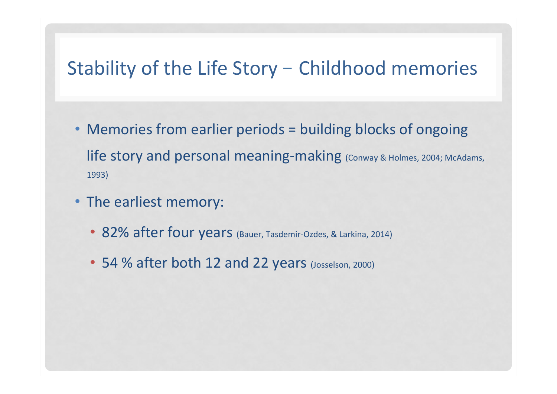#### Stability of the Life Story - Childhood memories

- Memories from earlier periods = building blocks of ongoing life story and personal meaning-making (Conway & Holmes, 2004; McAdams, 1993)
- The earliest memory:
	- 82% after four years (Bauer, Tasdemir-Ozdes, & Larkina, 2014)
	- 54 % after both 12 and 22 years (Josselson, 2000)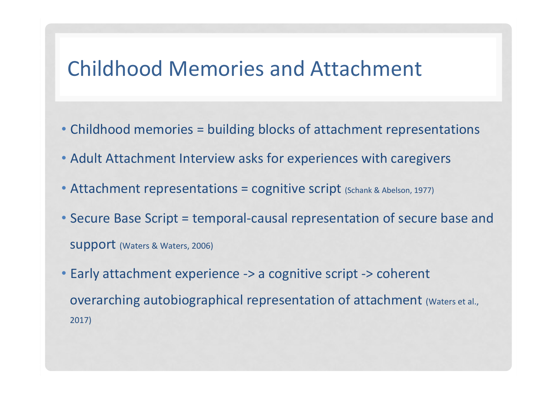### Childhood Memories and Attachment

- Childhood memories = building blocks of attachment representations
- Adult Attachment Interview asks for experiences with caregivers
- Attachment representations = cognitive script (Schank & Abelson, 1977)
- Secure Base Script = temporal-causal representation of secure base and **SUPPORT** (Waters & Waters, 2006)
- Early attachment experience -> a cognitive script -> coherent overarching autobiographical representation of attachment (Waters et al., 2017)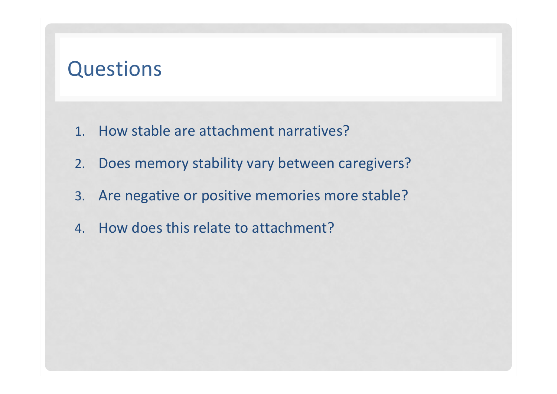### **Questions**

- 1. How stable are attachment narratives?
- 2. Does memory stability vary between caregivers?
- 3. Are negative or positive memories more stable?
- 4. How does this relate to attachment?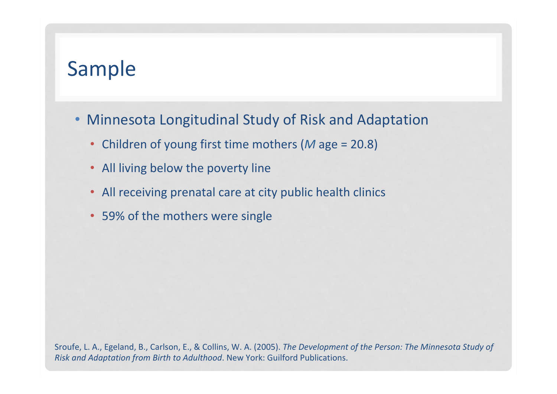## Sample

- Minnesota Longitudinal Study of Risk and Adaptation
	- Children of young first time mothers (M age = 20.8)
	- All living below the poverty line
	- All receiving prenatal care at city public health clinics
	- 59% of the mothers were single

Sroufe, L. A., Egeland, B., Carlson, E., & Collins, W. A. (2005). The Development of the Person: The Minnesota Study of *Risk and Adaptation from Birth to Adulthood*. New York: Guilford Publications.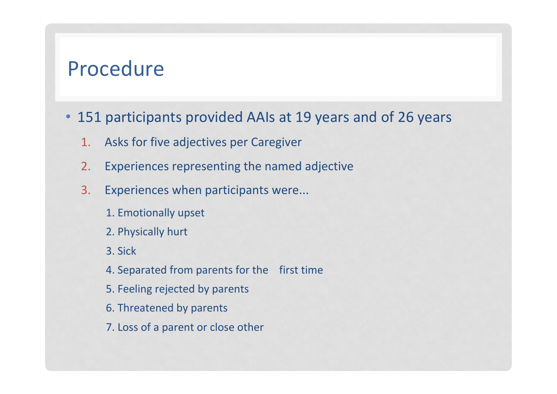#### Procedure

- 151 participants provided AAIs at 19 years and of 26 years
	- 1. Asks for five adjectives per Caregiver
	- 2. Experiences representing the named adjective
	- 3. Experiences when participants were...
		- 1. Emotionally upset
		- 2. Physically hurt
		- 3. Sick
		- 4. Separated from parents for the first time
		- 5. Feeling rejected by parents
		- 6. Threatened by parents
		- 7. Loss of a parent or close other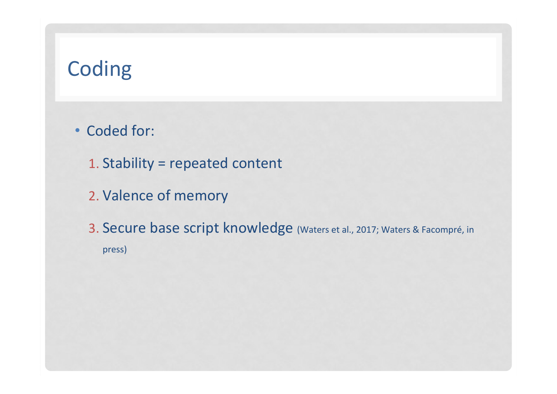# Coding

• Coded for:

1. Stability = repeated content

2. Valence of memory

3. Secure base script knowledge (Waters et al., 2017; Waters & Facompré, in press)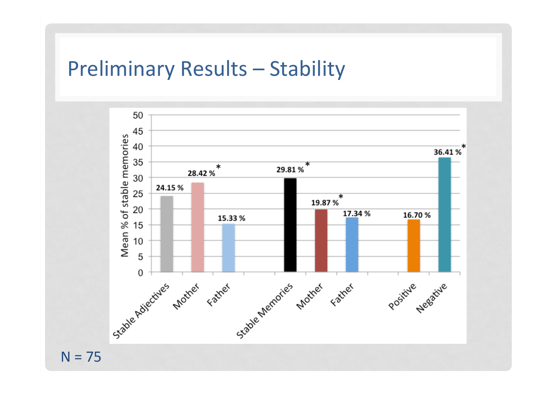#### Preliminary Results - Stability



 $N = 75$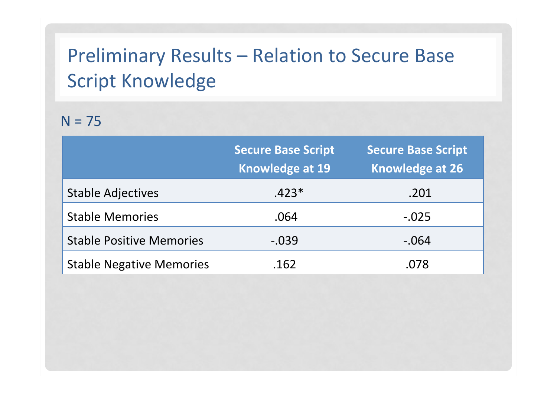# Preliminary Results - Relation to Secure Base **Script Knowledge**

#### $N = 75$

|                                 | <b>Secure Base Script</b><br><b>Knowledge at 19</b> | <b>Secure Base Script</b><br><b>Knowledge at 26</b> |
|---------------------------------|-----------------------------------------------------|-----------------------------------------------------|
| <b>Stable Adjectives</b>        | $.423*$                                             | .201                                                |
| <b>Stable Memories</b>          | .064                                                | $-.025$                                             |
| <b>Stable Positive Memories</b> | $-.039$                                             | $-.064$                                             |
| <b>Stable Negative Memories</b> | .162                                                | .078                                                |